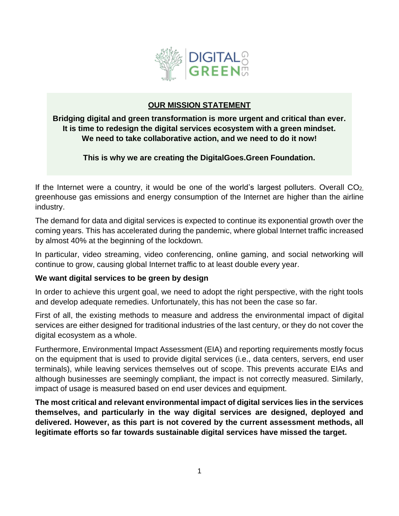

## **OUR MISSION STATEMENT**

**Bridging digital and green transformation is more urgent and critical than ever. It is time to redesign the digital services ecosystem with a green mindset. We need to take collaborative action, and we need to do it now!**

**This is why we are creating the DigitalGoes.Green Foundation.**

If the Internet were a country, it would be one of the world's largest polluters. Overall  $CO<sub>2</sub>$ greenhouse gas emissions and energy consumption of the Internet are higher than the airline industry.

The demand for data and digital services is expected to continue its exponential growth over the coming years. This has accelerated during the pandemic, where global Internet traffic increased by almost 40% at the beginning of the lockdown.

In particular, video streaming, video conferencing, online gaming, and social networking will continue to grow, causing global Internet traffic to at least double every year.

#### **We want digital services to be green by design**

In order to achieve this urgent goal, we need to adopt the right perspective, with the right tools and develop adequate remedies. Unfortunately, this has not been the case so far.

First of all, the existing methods to measure and address the environmental impact of digital services are either designed for traditional industries of the last century, or they do not cover the digital ecosystem as a whole.

Furthermore, Environmental Impact Assessment (EIA) and reporting requirements mostly focus on the equipment that is used to provide digital services (i.e., data centers, servers, end user terminals), while leaving services themselves out of scope. This prevents accurate EIAs and although businesses are seemingly compliant, the impact is not correctly measured. Similarly, impact of usage is measured based on end user devices and equipment.

**The most critical and relevant environmental impact of digital services lies in the services themselves, and particularly in the way digital services are designed, deployed and delivered. However, as this part is not covered by the current assessment methods, all legitimate efforts so far towards sustainable digital services have missed the target.**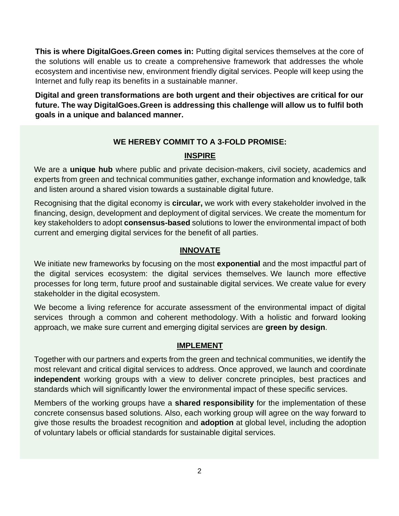**This is where DigitalGoes.Green comes in:** Putting digital services themselves at the core of the solutions will enable us to create a comprehensive framework that addresses the whole ecosystem and incentivise new, environment friendly digital services. People will keep using the Internet and fully reap its benefits in a sustainable manner.

**Digital and green transformations are both urgent and their objectives are critical for our future. The way DigitalGoes.Green is addressing this challenge will allow us to fulfil both goals in a unique and balanced manner.**

### **WE HEREBY COMMIT TO A 3-FOLD PROMISE:**

### **INSPIRE**

We are a **unique hub** where public and private decision-makers, civil society, academics and experts from green and technical communities gather, exchange information and knowledge, talk and listen around a shared vision towards a sustainable digital future.

Recognising that the digital economy is **circular,** we work with every stakeholder involved in the financing, design, development and deployment of digital services. We create the momentum for key stakeholders to adopt **consensus-based** solutions to lower the environmental impact of both current and emerging digital services for the benefit of all parties.

## **INNOVATE**

We initiate new frameworks by focusing on the most **exponential** and the most impactful part of the digital services ecosystem: the digital services themselves. We launch more effective processes for long term, future proof and sustainable digital services. We create value for every stakeholder in the digital ecosystem.

We become a living reference for accurate assessment of the environmental impact of digital services through a common and coherent methodology. With a holistic and forward looking approach, we make sure current and emerging digital services are **green by design**.

### **IMPLEMENT**

Together with our partners and experts from the green and technical communities, we identify the most relevant and critical digital services to address. Once approved, we launch and coordinate **independent** working groups with a view to deliver concrete principles, best practices and standards which will significantly lower the environmental impact of these specific services.

Members of the working groups have a **shared responsibility** for the implementation of these concrete consensus based solutions. Also, each working group will agree on the way forward to give those results the broadest recognition and **adoption** at global level, including the adoption of voluntary labels or official standards for sustainable digital services.